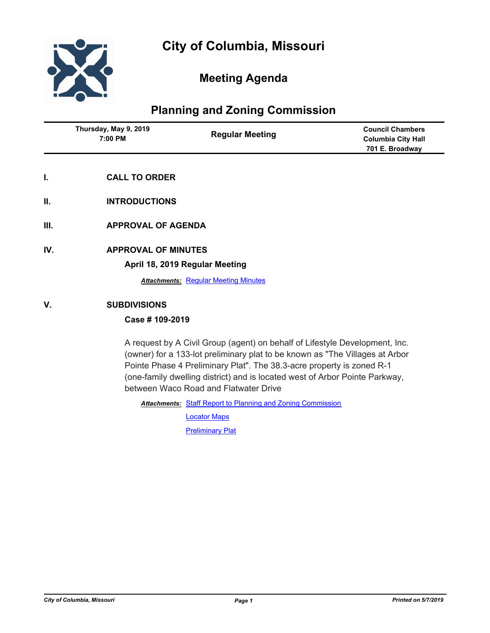

# **Meeting Agenda**

# **Planning and Zoning Commission**

| Thursday, May 9, 2019<br>7:00 PM | <b>Regular Meeting</b> | <b>Council Chambers</b><br><b>Columbia City Hall</b><br>701 E. Broadway |
|----------------------------------|------------------------|-------------------------------------------------------------------------|
|                                  |                        |                                                                         |

- **I. CALL TO ORDER**
- **II. INTRODUCTIONS**
- **III. APPROVAL OF AGENDA**
- **IV. APPROVAL OF MINUTES**

#### **April 18, 2019 Regular Meeting**

**Attachments: [Regular Meeting Minutes](http://gocolumbiamo.legistar.com/gateway.aspx?M=F&ID=3d46f0e1-fd46-493a-8654-a42ff53f9ed3.rtf)** 

### **V. SUBDIVISIONS**

## **Case # 109-2019**

A request by A Civil Group (agent) on behalf of Lifestyle Development, Inc. (owner) for a 133-lot preliminary plat to be known as "The Villages at Arbor Pointe Phase 4 Preliminary Plat". The 38.3-acre property is zoned R-1 (one-family dwelling district) and is located west of Arbor Pointe Parkway, between Waco Road and Flatwater Drive

Attachments: [Staff Report to Planning and Zoning Commission](http://gocolumbiamo.legistar.com/gateway.aspx?M=F&ID=8f1f4157-f68a-48e0-abec-c6812bf5bedb.docx)

[Locator Maps](http://gocolumbiamo.legistar.com/gateway.aspx?M=F&ID=283e4e1b-7be6-41a2-a6b7-574c2577f349.pdf) **[Preliminary Plat](http://gocolumbiamo.legistar.com/gateway.aspx?M=F&ID=2c117967-3ce5-44fe-9a95-d5f50769016a.pdf)**